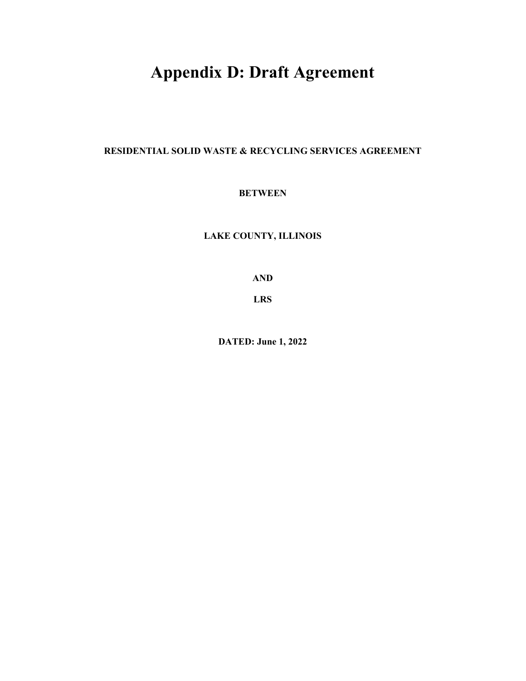# **Appendix D: Draft Agreement**

**RESIDENTIAL SOLID WASTE & RECYCLING SERVICES AGREEMENT** 

# **BETWEEN**

**LAKE COUNTY, ILLINOIS** 

**AND** 

**LRS** 

**DATED: June 1, 2022**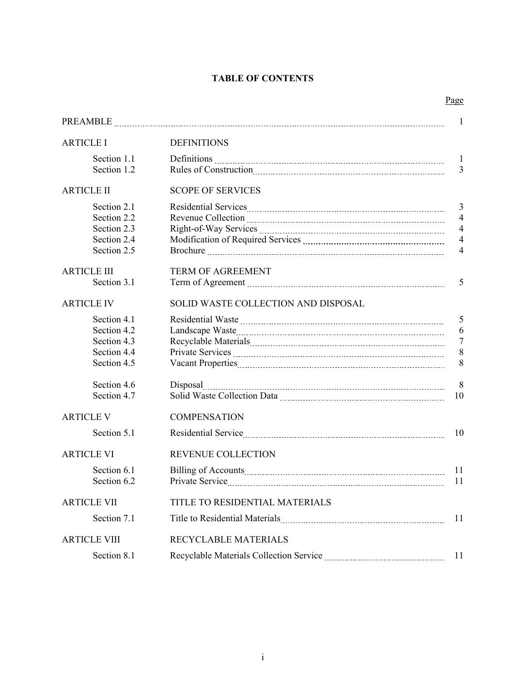# **TABLE OF CONTENTS**

|--|

|                     |                                     | 1              |
|---------------------|-------------------------------------|----------------|
| <b>ARTICLE I</b>    | <b>DEFINITIONS</b>                  |                |
| Section 1.1         |                                     | $\mathbf{1}$   |
| Section 1.2         |                                     | 3              |
| <b>ARTICLE II</b>   | <b>SCOPE OF SERVICES</b>            |                |
| Section 2.1         |                                     | 3              |
| Section 2.2         |                                     | $\overline{4}$ |
| Section 2.3         |                                     | $\overline{4}$ |
| Section 2.4         |                                     | $\overline{4}$ |
| Section 2.5         |                                     | $\overline{4}$ |
|                     |                                     |                |
| <b>ARTICLE III</b>  | <b>TERM OF AGREEMENT</b>            |                |
| Section 3.1         |                                     | 5              |
|                     |                                     |                |
| <b>ARTICLE IV</b>   | SOLID WASTE COLLECTION AND DISPOSAL |                |
| Section 4.1         |                                     | 5              |
| Section 4.2         |                                     | 6              |
| Section 4.3         |                                     | $\overline{7}$ |
| Section 4.4         |                                     | 8              |
| Section 4.5         |                                     | 8              |
|                     |                                     |                |
| Section 4.6         | Disposal                            | 8              |
| Section 4.7         |                                     | 10             |
| <b>ARTICLE V</b>    | <b>COMPENSATION</b>                 |                |
| Section 5.1         |                                     | 10             |
|                     |                                     |                |
| <b>ARTICLE VI</b>   | <b>REVENUE COLLECTION</b>           |                |
| Section 6.1         |                                     | 11             |
| Section 6.2         |                                     | 11             |
| <b>ARTICLE VII</b>  | TITLE TO RESIDENTIAL MATERIALS      |                |
|                     |                                     |                |
| Section 7.1         |                                     | 11             |
| <b>ARTICLE VIII</b> | RECYCLABLE MATERIALS                |                |
| Section 8.1         |                                     | 11             |
|                     |                                     |                |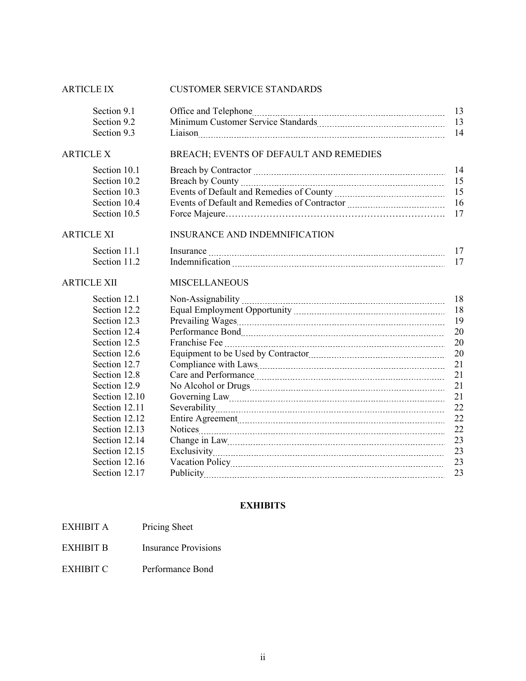# ARTICLE IX CUSTOMER SERVICE STANDARDS

| Section 9.1       |                                        | 13<br>13 |
|-------------------|----------------------------------------|----------|
| Section 9.2       |                                        |          |
| Section 9.3       |                                        | 14       |
| <b>ARTICLE X</b>  | BREACH; EVENTS OF DEFAULT AND REMEDIES |          |
| Section 10.1      |                                        | 14       |
| Section 10.2      |                                        | 15       |
| Section 10.3      |                                        | 15       |
| Section 10.4      |                                        | 16       |
| Section 10.5      |                                        | 17       |
| <b>ARTICLE XI</b> | <b>INSURANCE AND INDEMNIFICATION</b>   |          |
| Section 11.1      |                                        | 17       |
| Section 11.2      |                                        | 17       |
| ARTICLE XII       | <b>MISCELLANEOUS</b>                   |          |
| Section 12.1      |                                        | 18       |
| Section 12.2      |                                        | 18       |
| Section 12.3      |                                        | 19       |
| Section 12.4      |                                        | 20       |
| Section 12.5      |                                        | 20       |
| Section 12.6      | Equipment to be Used by Contractor     | 20       |
| Section 12.7      |                                        | 21       |
| Section 12.8      |                                        | 21       |
| Section 12.9      |                                        | 21       |
| Section 12.10     |                                        | 21       |
| Section 12.11     |                                        | 22       |
| Section 12.12     |                                        | 22       |
| Section 12.13     |                                        | 22       |
| Section 12.14     |                                        | 23       |
| Section 12.15     |                                        | 23       |
| Section 12.16     |                                        | 23       |
| Section 12.17     |                                        | 23       |

# **EXHIBITS**

| EXHIBIT A | Pricing Sheet |
|-----------|---------------|
|-----------|---------------|

- EXHIBIT B Insurance Provisions
- EXHIBIT C Performance Bond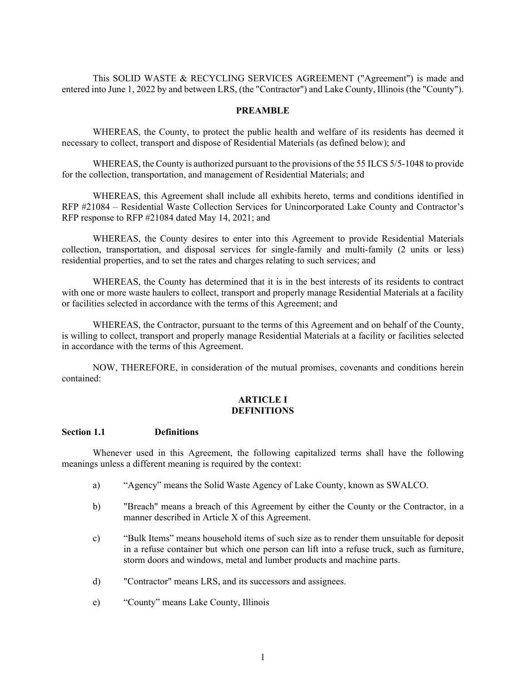This SOLID WASTE & RECYCLING SERVICES AGREEMENT ("Agreement") is made and entered into June 1, 2022 by and between LRS, (the "Contractor") and Lake County, Illinois (the "County").

#### **PREAMBLE**

WHEREAS, the County, to protect the public health and welfare of its residents has deemed it necessary to collect, transport and dispose of Residential Materials (as defined below); and

WHEREAS, the County is authorized pursuant to the provisions of the 55 ILCS 5/5-1048 to provide for the collection, transportation, and management of Residential Materials; and

WHEREAS, this Agreement shall include all exhibits hereto, terms and conditions identified in RFP #21084 – Residential Waste Collection Services for Unincorporated Lake County and Contractor's RFP response to RFP #21084 dated May 14, 2021; and

WHEREAS, the County desires to enter into this Agreement to provide Residential Materials collection, transportation, and disposal services for single-family and multi-family (2 units or less) residential properties, and to set the rates and charges relating to such services; and

WHEREAS, the County has determined that it is in the best interests of its residents to contract with one or more waste haulers to collect, transport and properly manage Residential Materials at a facility or facilities selected in accordance with the terms of this Agreement; and

WHEREAS, the Contractor, pursuant to the terms of this Agreement and on behalf of the County, is willing to collect, transport and properly manage Residential Materials at a facility or facilities selected in accordance with the terms of this Agreement.

NOW, THEREFORE, in consideration of the mutual promises, covenants and conditions herein contained:

#### **ARTICLE I DEFINITIONS**

#### **Section 1.1 Definitions**

Whenever used in this Agreement, the following capitalized terms shall have the following meanings unless a different meaning is required by the context:

- a) "Agency" means the Solid Waste Agency of Lake County, known as SWALCO.
- b) "Breach" means a breach of this Agreement by either the County or the Contractor, in a manner described in Article X of this Agreement.
- c) "Bulk Items" means household items of such size as to render them unsuitable for deposit in a refuse container but which one person can lift into a refuse truck, such as furniture, storm doors and windows, metal and lumber products and machine parts.
- d) "Contractor" means LRS, and its successors and assignees.
- e) "County" means Lake County, Illinois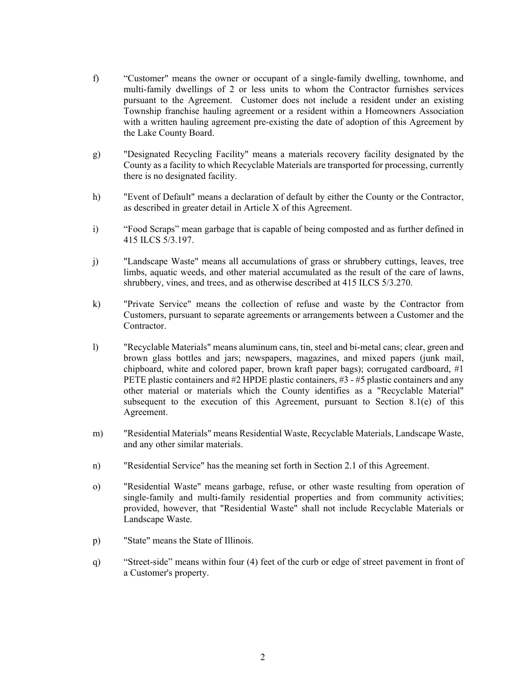- f) "Customer" means the owner or occupant of a single-family dwelling, townhome, and multi-family dwellings of 2 or less units to whom the Contractor furnishes services pursuant to the Agreement. Customer does not include a resident under an existing Township franchise hauling agreement or a resident within a Homeowners Association with a written hauling agreement pre-existing the date of adoption of this Agreement by the Lake County Board.
- g) "Designated Recycling Facility" means a materials recovery facility designated by the County as a facility to which Recyclable Materials are transported for processing, currently there is no designated facility.
- h) "Event of Default" means a declaration of default by either the County or the Contractor, as described in greater detail in Article X of this Agreement.
- i) "Food Scraps" mean garbage that is capable of being composted and as further defined in 415 ILCS 5/3.197.
- j) "Landscape Waste" means all accumulations of grass or shrubbery cuttings, leaves, tree limbs, aquatic weeds, and other material accumulated as the result of the care of lawns, shrubbery, vines, and trees, and as otherwise described at 415 ILCS 5/3.270.
- k) "Private Service" means the collection of refuse and waste by the Contractor from Customers, pursuant to separate agreements or arrangements between a Customer and the Contractor.
- l) "Recyclable Materials" means aluminum cans, tin, steel and bi-metal cans; clear, green and brown glass bottles and jars; newspapers, magazines, and mixed papers (junk mail, chipboard, white and colored paper, brown kraft paper bags); corrugated cardboard, #1 PETE plastic containers and #2 HPDE plastic containers, #3 - #5 plastic containers and any other material or materials which the County identifies as a "Recyclable Material" subsequent to the execution of this Agreement, pursuant to Section 8.1(e) of this Agreement.
- m) "Residential Materials" means Residential Waste, Recyclable Materials, Landscape Waste, and any other similar materials.
- n) "Residential Service" has the meaning set forth in Section 2.1 of this Agreement.
- o) "Residential Waste" means garbage, refuse, or other waste resulting from operation of single-family and multi-family residential properties and from community activities; provided, however, that "Residential Waste" shall not include Recyclable Materials or Landscape Waste.
- p) "State" means the State of Illinois.
- q) "Street-side" means within four (4) feet of the curb or edge of street pavement in front of a Customer's property.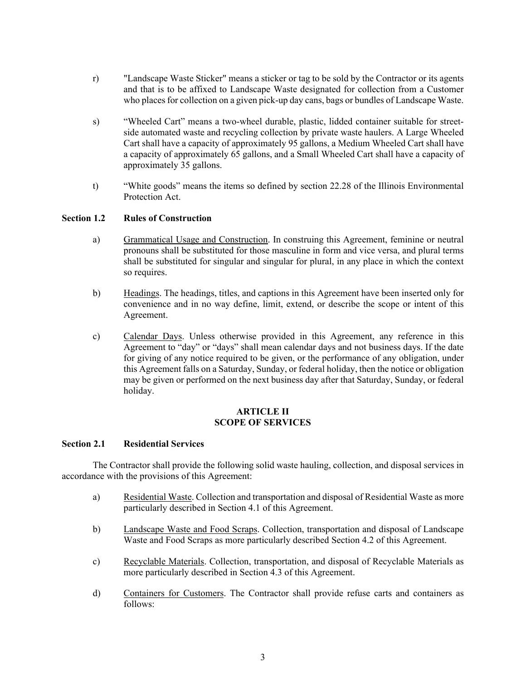- r) "Landscape Waste Sticker" means a sticker or tag to be sold by the Contractor or its agents and that is to be affixed to Landscape Waste designated for collection from a Customer who places for collection on a given pick-up day cans, bags or bundles of Landscape Waste.
- s) "Wheeled Cart" means a two-wheel durable, plastic, lidded container suitable for streetside automated waste and recycling collection by private waste haulers. A Large Wheeled Cart shall have a capacity of approximately 95 gallons, a Medium Wheeled Cart shall have a capacity of approximately 65 gallons, and a Small Wheeled Cart shall have a capacity of approximately 35 gallons.
- t) "White goods" means the items so defined by section 22.28 of the Illinois Environmental Protection Act.

# **Section 1.2 Rules of Construction**

- a) Grammatical Usage and Construction. In construing this Agreement, feminine or neutral pronouns shall be substituted for those masculine in form and vice versa, and plural terms shall be substituted for singular and singular for plural, in any place in which the context so requires.
- b) Headings. The headings, titles, and captions in this Agreement have been inserted only for convenience and in no way define, limit, extend, or describe the scope or intent of this Agreement.
- c) Calendar Days. Unless otherwise provided in this Agreement, any reference in this Agreement to "day" or "days" shall mean calendar days and not business days. If the date for giving of any notice required to be given, or the performance of any obligation, under this Agreement falls on a Saturday, Sunday, or federal holiday, then the notice or obligation may be given or performed on the next business day after that Saturday, Sunday, or federal holiday.

# **ARTICLE II SCOPE OF SERVICES**

# **Section 2.1 Residential Services**

The Contractor shall provide the following solid waste hauling, collection, and disposal services in accordance with the provisions of this Agreement:

- a) Residential Waste. Collection and transportation and disposal of Residential Waste as more particularly described in Section 4.1 of this Agreement.
- b) Landscape Waste and Food Scraps. Collection, transportation and disposal of Landscape Waste and Food Scraps as more particularly described Section 4.2 of this Agreement.
- c) Recyclable Materials. Collection, transportation, and disposal of Recyclable Materials as more particularly described in Section 4.3 of this Agreement.
- d) Containers for Customers. The Contractor shall provide refuse carts and containers as follows: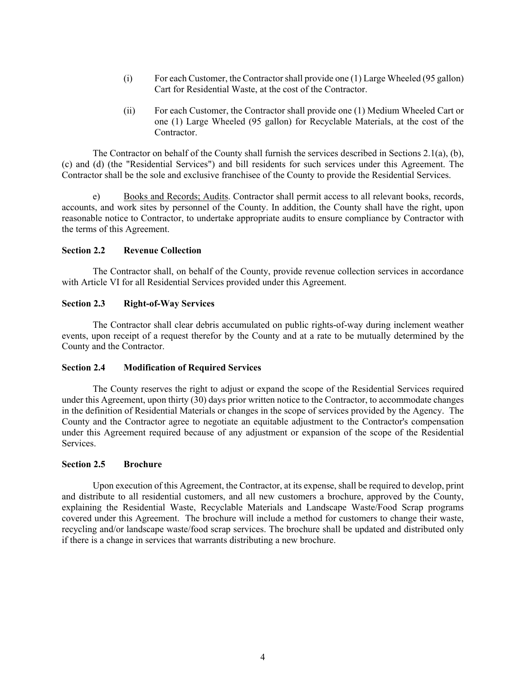- (i) For each Customer, the Contractor shall provide one (1) Large Wheeled (95 gallon) Cart for Residential Waste, at the cost of the Contractor.
- (ii) For each Customer, the Contractor shall provide one (1) Medium Wheeled Cart or one (1) Large Wheeled (95 gallon) for Recyclable Materials, at the cost of the Contractor.

 The Contractor on behalf of the County shall furnish the services described in Sections 2.1(a), (b), (c) and (d) (the "Residential Services") and bill residents for such services under this Agreement. The Contractor shall be the sole and exclusive franchisee of the County to provide the Residential Services.

e) Books and Records; Audits. Contractor shall permit access to all relevant books, records, accounts, and work sites by personnel of the County. In addition, the County shall have the right, upon reasonable notice to Contractor, to undertake appropriate audits to ensure compliance by Contractor with the terms of this Agreement.

#### **Section 2.2 Revenue Collection**

The Contractor shall, on behalf of the County, provide revenue collection services in accordance with Article VI for all Residential Services provided under this Agreement.

## **Section 2.3 Right-of-Way Services**

The Contractor shall clear debris accumulated on public rights-of-way during inclement weather events, upon receipt of a request therefor by the County and at a rate to be mutually determined by the County and the Contractor.

#### **Section 2.4 Modification of Required Services**

The County reserves the right to adjust or expand the scope of the Residential Services required under this Agreement, upon thirty (30) days prior written notice to the Contractor, to accommodate changes in the definition of Residential Materials or changes in the scope of services provided by the Agency. The County and the Contractor agree to negotiate an equitable adjustment to the Contractor's compensation under this Agreement required because of any adjustment or expansion of the scope of the Residential Services.

#### **Section 2.5 Brochure**

Upon execution of this Agreement, the Contractor, at its expense, shall be required to develop, print and distribute to all residential customers, and all new customers a brochure, approved by the County, explaining the Residential Waste, Recyclable Materials and Landscape Waste/Food Scrap programs covered under this Agreement. The brochure will include a method for customers to change their waste, recycling and/or landscape waste/food scrap services. The brochure shall be updated and distributed only if there is a change in services that warrants distributing a new brochure.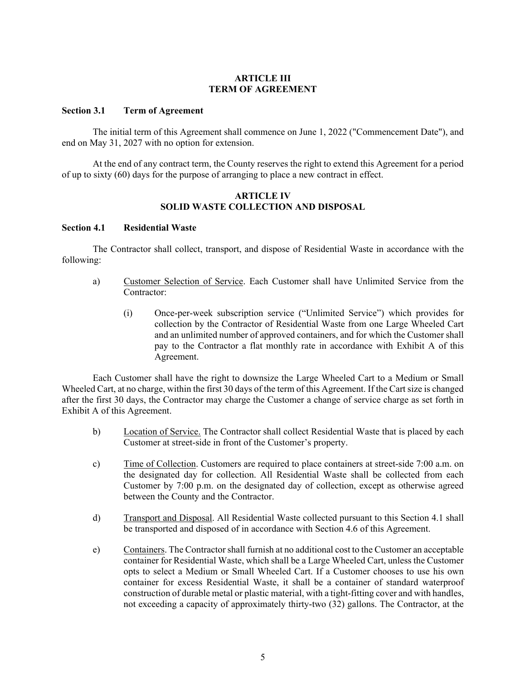#### **ARTICLE III TERM OF AGREEMENT**

#### **Section 3.1 Term of Agreement**

The initial term of this Agreement shall commence on June 1, 2022 ("Commencement Date"), and end on May 31, 2027 with no option for extension.

 At the end of any contract term, the County reserves the right to extend this Agreement for a period of up to sixty (60) days for the purpose of arranging to place a new contract in effect.

#### **ARTICLE IV SOLID WASTE COLLECTION AND DISPOSAL**

#### **Section 4.1 Residential Waste**

The Contractor shall collect, transport, and dispose of Residential Waste in accordance with the following:

- a) Customer Selection of Service. Each Customer shall have Unlimited Service from the Contractor:
	- (i) Once-per-week subscription service ("Unlimited Service") which provides for collection by the Contractor of Residential Waste from one Large Wheeled Cart and an unlimited number of approved containers, and for which the Customer shall pay to the Contractor a flat monthly rate in accordance with Exhibit A of this Agreement.

 Each Customer shall have the right to downsize the Large Wheeled Cart to a Medium or Small Wheeled Cart, at no charge, within the first 30 days of the term of this Agreement. If the Cart size is changed after the first 30 days, the Contractor may charge the Customer a change of service charge as set forth in Exhibit A of this Agreement.

- b) Location of Service. The Contractor shall collect Residential Waste that is placed by each Customer at street-side in front of the Customer's property.
- c) Time of Collection. Customers are required to place containers at street-side 7:00 a.m. on the designated day for collection. All Residential Waste shall be collected from each Customer by 7:00 p.m. on the designated day of collection, except as otherwise agreed between the County and the Contractor.
- d) Transport and Disposal. All Residential Waste collected pursuant to this Section 4.1 shall be transported and disposed of in accordance with Section 4.6 of this Agreement.
- e) Containers. The Contractor shall furnish at no additional cost to the Customer an acceptable container for Residential Waste, which shall be a Large Wheeled Cart, unless the Customer opts to select a Medium or Small Wheeled Cart. If a Customer chooses to use his own container for excess Residential Waste, it shall be a container of standard waterproof construction of durable metal or plastic material, with a tight-fitting cover and with handles, not exceeding a capacity of approximately thirty-two (32) gallons. The Contractor, at the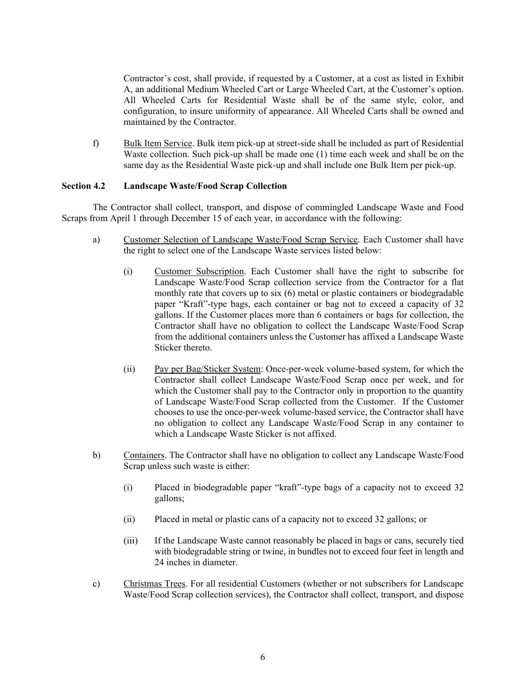Contractor's cost, shall provide, if requested by a Customer, at a cost as listed in Exhibit A, an additional Medium Wheeled Cart or Large Wheeled Cart, at the Customer's option. All Wheeled Carts for Residential Waste shall be of the same style, color, and configuration, to insure uniformity of appearance. All Wheeled Carts shall be owned and maintained by the Contractor.

f) Bulk Item Service. Bulk item pick-up at street-side shall be included as part of Residential Waste collection. Such pick-up shall be made one (1) time each week and shall be on the same day as the Residential Waste pick-up and shall include one Bulk Item per pick-up.

#### **Section 4.2 Landscape Waste/Food Scrap Collection**

The Contractor shall collect, transport, and dispose of commingled Landscape Waste and Food Scraps from April 1 through December 15 of each year, in accordance with the following:

- a) Customer Selection of Landscape Waste/Food Scrap Service. Each Customer shall have the right to select one of the Landscape Waste services listed below:
	- (i) Customer Subscription. Each Customer shall have the right to subscribe for Landscape Waste/Food Scrap collection service from the Contractor for a flat monthly rate that covers up to six (6) metal or plastic containers or biodegradable paper "Kraft"-type bags, each container or bag not to exceed a capacity of 32 gallons. If the Customer places more than 6 containers or bags for collection, the Contractor shall have no obligation to collect the Landscape Waste/Food Scrap from the additional containers unless the Customer has affixed a Landscape Waste Sticker thereto.
	- (ii) Pay per Bag/Sticker System: Once-per-week volume-based system, for which the Contractor shall collect Landscape Waste/Food Scrap once per week, and for which the Customer shall pay to the Contractor only in proportion to the quantity of Landscape Waste/Food Scrap collected from the Customer. If the Customer chooses to use the once-per-week volume-based service, the Contractor shall have no obligation to collect any Landscape Waste/Food Scrap in any container to which a Landscape Waste Sticker is not affixed.
- b) Containers. The Contractor shall have no obligation to collect any Landscape Waste/Food Scrap unless such waste is either:
	- (i) Placed in biodegradable paper "kraft"-type bags of a capacity not to exceed 32 gallons;
	- (ii) Placed in metal or plastic cans of a capacity not to exceed 32 gallons; or
	- (iii) If the Landscape Waste cannot reasonably be placed in bags or cans, securely tied with biodegradable string or twine, in bundles not to exceed four feet in length and 24 inches in diameter.
- c) Christmas Trees. For all residential Customers (whether or not subscribers for Landscape Waste/Food Scrap collection services), the Contractor shall collect, transport, and dispose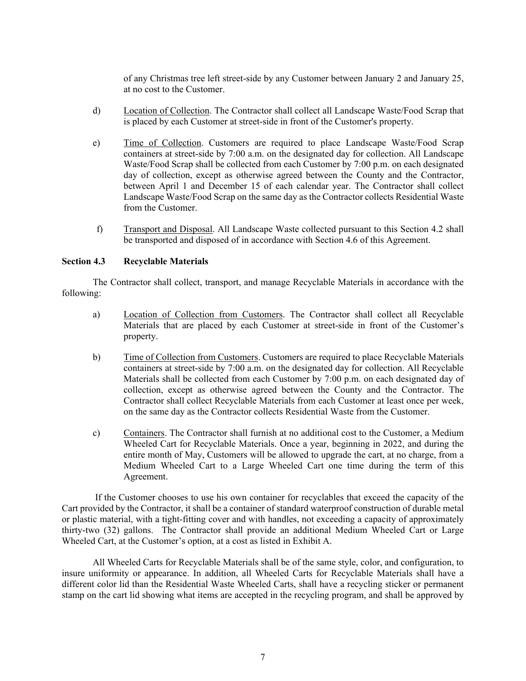of any Christmas tree left street-side by any Customer between January 2 and January 25, at no cost to the Customer.

- d) Location of Collection. The Contractor shall collect all Landscape Waste/Food Scrap that is placed by each Customer at street-side in front of the Customer's property.
- e) Time of Collection. Customers are required to place Landscape Waste/Food Scrap containers at street-side by 7:00 a.m. on the designated day for collection. All Landscape Waste/Food Scrap shall be collected from each Customer by 7:00 p.m. on each designated day of collection, except as otherwise agreed between the County and the Contractor, between April 1 and December 15 of each calendar year. The Contractor shall collect Landscape Waste/Food Scrap on the same day as the Contractor collects Residential Waste from the Customer.
- f) Transport and Disposal. All Landscape Waste collected pursuant to this Section 4.2 shall be transported and disposed of in accordance with Section 4.6 of this Agreement.

#### **Section 4.3 Recyclable Materials**

The Contractor shall collect, transport, and manage Recyclable Materials in accordance with the following:

- a) Location of Collection from Customers. The Contractor shall collect all Recyclable Materials that are placed by each Customer at street-side in front of the Customer's property.
- b) Time of Collection from Customers. Customers are required to place Recyclable Materials containers at street-side by 7:00 a.m. on the designated day for collection. All Recyclable Materials shall be collected from each Customer by 7:00 p.m. on each designated day of collection, except as otherwise agreed between the County and the Contractor. The Contractor shall collect Recyclable Materials from each Customer at least once per week, on the same day as the Contractor collects Residential Waste from the Customer.
- c) Containers. The Contractor shall furnish at no additional cost to the Customer, a Medium Wheeled Cart for Recyclable Materials. Once a year, beginning in 2022, and during the entire month of May, Customers will be allowed to upgrade the cart, at no charge, from a Medium Wheeled Cart to a Large Wheeled Cart one time during the term of this Agreement.

 If the Customer chooses to use his own container for recyclables that exceed the capacity of the Cart provided by the Contractor, it shall be a container of standard waterproof construction of durable metal or plastic material, with a tight-fitting cover and with handles, not exceeding a capacity of approximately thirty-two (32) gallons. The Contractor shall provide an additional Medium Wheeled Cart or Large Wheeled Cart, at the Customer's option, at a cost as listed in Exhibit A.

All Wheeled Carts for Recyclable Materials shall be of the same style, color, and configuration, to insure uniformity or appearance. In addition, all Wheeled Carts for Recyclable Materials shall have a different color lid than the Residential Waste Wheeled Carts, shall have a recycling sticker or permanent stamp on the cart lid showing what items are accepted in the recycling program, and shall be approved by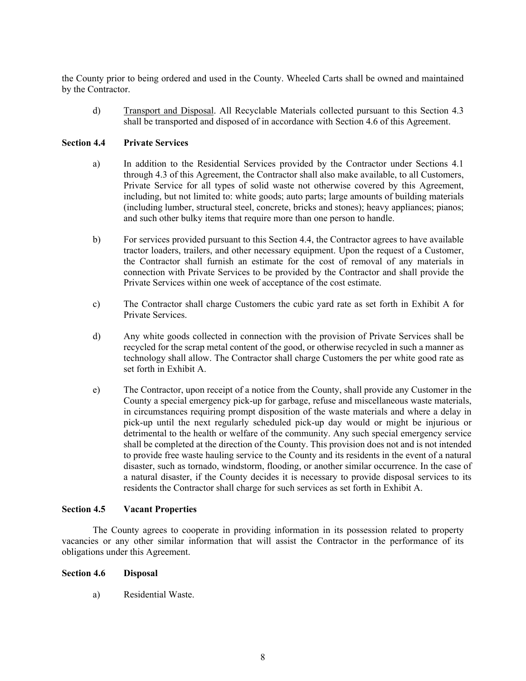the County prior to being ordered and used in the County. Wheeled Carts shall be owned and maintained by the Contractor.

d) Transport and Disposal. All Recyclable Materials collected pursuant to this Section 4.3 shall be transported and disposed of in accordance with Section 4.6 of this Agreement.

## **Section 4.4 Private Services**

- a) In addition to the Residential Services provided by the Contractor under Sections 4.1 through 4.3 of this Agreement, the Contractor shall also make available, to all Customers, Private Service for all types of solid waste not otherwise covered by this Agreement, including, but not limited to: white goods; auto parts; large amounts of building materials (including lumber, structural steel, concrete, bricks and stones); heavy appliances; pianos; and such other bulky items that require more than one person to handle.
- b) For services provided pursuant to this Section 4.4, the Contractor agrees to have available tractor loaders, trailers, and other necessary equipment. Upon the request of a Customer, the Contractor shall furnish an estimate for the cost of removal of any materials in connection with Private Services to be provided by the Contractor and shall provide the Private Services within one week of acceptance of the cost estimate.
- c) The Contractor shall charge Customers the cubic yard rate as set forth in Exhibit A for Private Services.
- d) Any white goods collected in connection with the provision of Private Services shall be recycled for the scrap metal content of the good, or otherwise recycled in such a manner as technology shall allow. The Contractor shall charge Customers the per white good rate as set forth in Exhibit A.
- e) The Contractor, upon receipt of a notice from the County, shall provide any Customer in the County a special emergency pick-up for garbage, refuse and miscellaneous waste materials, in circumstances requiring prompt disposition of the waste materials and where a delay in pick-up until the next regularly scheduled pick-up day would or might be injurious or detrimental to the health or welfare of the community. Any such special emergency service shall be completed at the direction of the County. This provision does not and is not intended to provide free waste hauling service to the County and its residents in the event of a natural disaster, such as tornado, windstorm, flooding, or another similar occurrence. In the case of a natural disaster, if the County decides it is necessary to provide disposal services to its residents the Contractor shall charge for such services as set forth in Exhibit A.

#### **Section 4.5 Vacant Properties**

The County agrees to cooperate in providing information in its possession related to property vacancies or any other similar information that will assist the Contractor in the performance of its obligations under this Agreement.

#### **Section 4.6 Disposal**

a) Residential Waste.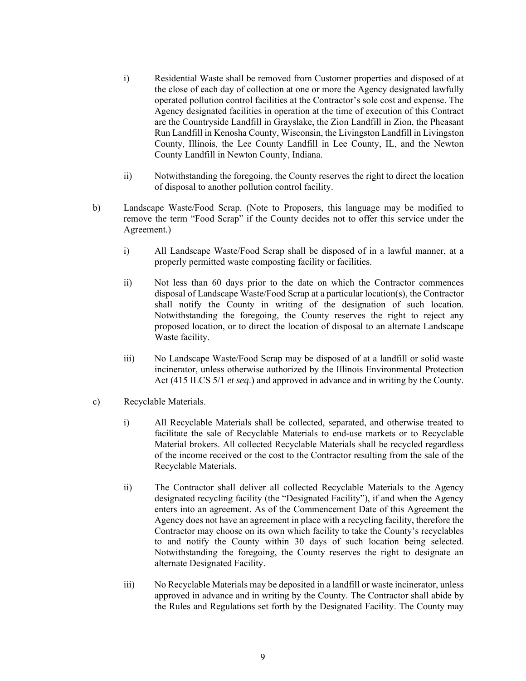- i) Residential Waste shall be removed from Customer properties and disposed of at the close of each day of collection at one or more the Agency designated lawfully operated pollution control facilities at the Contractor's sole cost and expense. The Agency designated facilities in operation at the time of execution of this Contract are the Countryside Landfill in Grayslake, the Zion Landfill in Zion, the Pheasant Run Landfill in Kenosha County, Wisconsin, the Livingston Landfill in Livingston County, Illinois, the Lee County Landfill in Lee County, IL, and the Newton County Landfill in Newton County, Indiana.
- ii) Notwithstanding the foregoing, the County reserves the right to direct the location of disposal to another pollution control facility.
- b) Landscape Waste/Food Scrap. (Note to Proposers, this language may be modified to remove the term "Food Scrap" if the County decides not to offer this service under the Agreement.)
	- i) All Landscape Waste/Food Scrap shall be disposed of in a lawful manner, at a properly permitted waste composting facility or facilities.
	- ii) Not less than 60 days prior to the date on which the Contractor commences disposal of Landscape Waste/Food Scrap at a particular location(s), the Contractor shall notify the County in writing of the designation of such location. Notwithstanding the foregoing, the County reserves the right to reject any proposed location, or to direct the location of disposal to an alternate Landscape Waste facility.
	- iii) No Landscape Waste/Food Scrap may be disposed of at a landfill or solid waste incinerator, unless otherwise authorized by the Illinois Environmental Protection Act (415 ILCS 5/1 *et seq*.) and approved in advance and in writing by the County.
- c) Recyclable Materials.
	- i) All Recyclable Materials shall be collected, separated, and otherwise treated to facilitate the sale of Recyclable Materials to end-use markets or to Recyclable Material brokers. All collected Recyclable Materials shall be recycled regardless of the income received or the cost to the Contractor resulting from the sale of the Recyclable Materials.
	- ii) The Contractor shall deliver all collected Recyclable Materials to the Agency designated recycling facility (the "Designated Facility"), if and when the Agency enters into an agreement. As of the Commencement Date of this Agreement the Agency does not have an agreement in place with a recycling facility, therefore the Contractor may choose on its own which facility to take the County's recyclables to and notify the County within 30 days of such location being selected. Notwithstanding the foregoing, the County reserves the right to designate an alternate Designated Facility.
	- iii) No Recyclable Materials may be deposited in a landfill or waste incinerator, unless approved in advance and in writing by the County. The Contractor shall abide by the Rules and Regulations set forth by the Designated Facility. The County may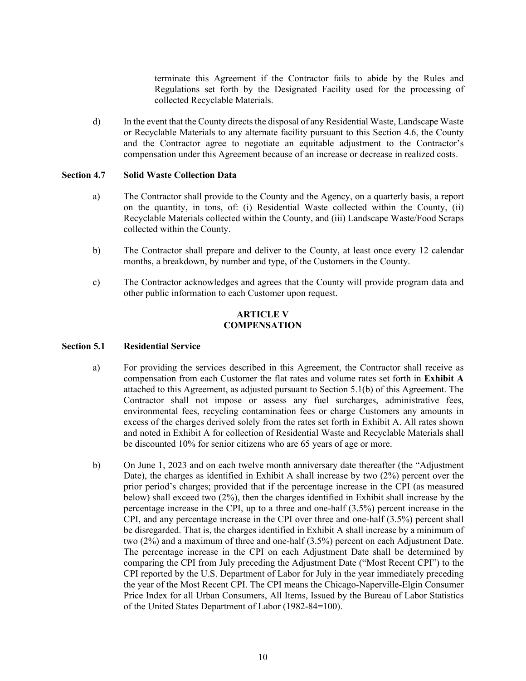terminate this Agreement if the Contractor fails to abide by the Rules and Regulations set forth by the Designated Facility used for the processing of collected Recyclable Materials.

d) In the event that the County directs the disposal of any Residential Waste, Landscape Waste or Recyclable Materials to any alternate facility pursuant to this Section 4.6, the County and the Contractor agree to negotiate an equitable adjustment to the Contractor's compensation under this Agreement because of an increase or decrease in realized costs.

## **Section 4.7 Solid Waste Collection Data**

- a) The Contractor shall provide to the County and the Agency, on a quarterly basis, a report on the quantity, in tons, of: (i) Residential Waste collected within the County, (ii) Recyclable Materials collected within the County, and (iii) Landscape Waste/Food Scraps collected within the County.
- b) The Contractor shall prepare and deliver to the County, at least once every 12 calendar months, a breakdown, by number and type, of the Customers in the County.
- c) The Contractor acknowledges and agrees that the County will provide program data and other public information to each Customer upon request.

# **ARTICLE V COMPENSATION**

# **Section 5.1 Residential Service**

- a) For providing the services described in this Agreement, the Contractor shall receive as compensation from each Customer the flat rates and volume rates set forth in **Exhibit A** attached to this Agreement, as adjusted pursuant to Section 5.1(b) of this Agreement. The Contractor shall not impose or assess any fuel surcharges, administrative fees, environmental fees, recycling contamination fees or charge Customers any amounts in excess of the charges derived solely from the rates set forth in Exhibit A. All rates shown and noted in Exhibit A for collection of Residential Waste and Recyclable Materials shall be discounted 10% for senior citizens who are 65 years of age or more.
- b) On June 1, 2023 and on each twelve month anniversary date thereafter (the "Adjustment Date), the charges as identified in Exhibit A shall increase by two (2%) percent over the prior period's charges; provided that if the percentage increase in the CPI (as measured below) shall exceed two (2%), then the charges identified in Exhibit shall increase by the percentage increase in the CPI, up to a three and one-half (3.5%) percent increase in the CPI, and any percentage increase in the CPI over three and one-half (3.5%) percent shall be disregarded. That is, the charges identified in Exhibit A shall increase by a minimum of two (2%) and a maximum of three and one-half (3.5%) percent on each Adjustment Date. The percentage increase in the CPI on each Adjustment Date shall be determined by comparing the CPI from July preceding the Adjustment Date ("Most Recent CPI") to the CPI reported by the U.S. Department of Labor for July in the year immediately preceding the year of the Most Recent CPI. The CPI means the Chicago-Naperville-Elgin Consumer Price Index for all Urban Consumers, All Items, Issued by the Bureau of Labor Statistics of the United States Department of Labor (1982-84=100).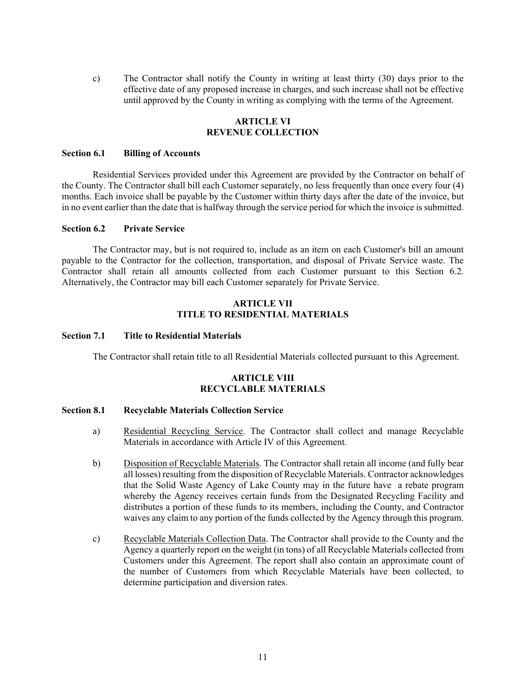c) The Contractor shall notify the County in writing at least thirty (30) days prior to the effective date of any proposed increase in charges, and such increase shall not be effective until approved by the County in writing as complying with the terms of the Agreement.

## **ARTICLE VI REVENUE COLLECTION**

#### **Section 6.1 Billing of Accounts**

Residential Services provided under this Agreement are provided by the Contractor on behalf of the County. The Contractor shall bill each Customer separately, no less frequently than once every four (4) months. Each invoice shall be payable by the Customer within thirty days after the date of the invoice, but in no event earlier than the date that is halfway through the service period for which the invoice is submitted.

#### **Section 6.2 Private Service**

The Contractor may, but is not required to, include as an item on each Customer's bill an amount payable to the Contractor for the collection, transportation, and disposal of Private Service waste. The Contractor shall retain all amounts collected from each Customer pursuant to this Section 6.2. Alternatively, the Contractor may bill each Customer separately for Private Service.

#### **ARTICLE VII TITLE TO RESIDENTIAL MATERIALS**

#### **Section 7.1 Title to Residential Materials**

The Contractor shall retain title to all Residential Materials collected pursuant to this Agreement.

# **ARTICLE VIII RECYCLABLE MATERIALS**

#### **Section 8.1 Recyclable Materials Collection Service**

- a) Residential Recycling Service. The Contractor shall collect and manage Recyclable Materials in accordance with Article IV of this Agreement.
- b) Disposition of Recyclable Materials. The Contractor shall retain all income (and fully bear all losses) resulting from the disposition of Recyclable Materials. Contractor acknowledges that the Solid Waste Agency of Lake County may in the future have a rebate program whereby the Agency receives certain funds from the Designated Recycling Facility and distributes a portion of these funds to its members, including the County, and Contractor waives any claim to any portion of the funds collected by the Agency through this program.
- c) Recyclable Materials Collection Data. The Contractor shall provide to the County and the Agency a quarterly report on the weight (in tons) of all Recyclable Materials collected from Customers under this Agreement. The report shall also contain an approximate count of the number of Customers from which Recyclable Materials have been collected, to determine participation and diversion rates.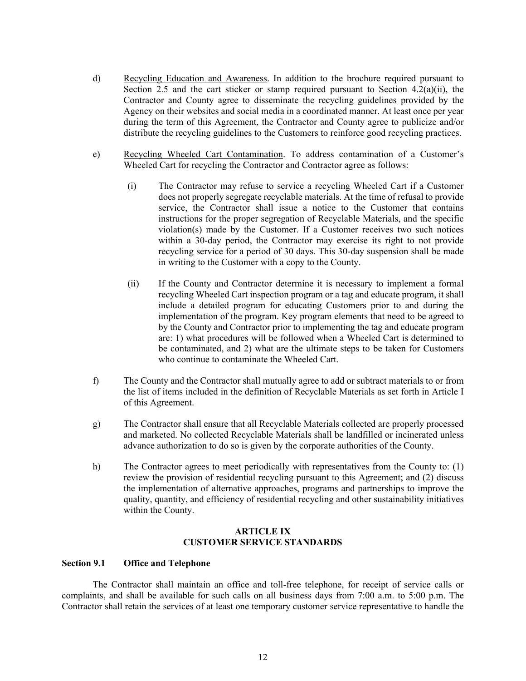- d) Recycling Education and Awareness. In addition to the brochure required pursuant to Section 2.5 and the cart sticker or stamp required pursuant to Section  $4.2(a)(ii)$ , the Contractor and County agree to disseminate the recycling guidelines provided by the Agency on their websites and social media in a coordinated manner. At least once per year during the term of this Agreement, the Contractor and County agree to publicize and/or distribute the recycling guidelines to the Customers to reinforce good recycling practices.
- e) Recycling Wheeled Cart Contamination. To address contamination of a Customer's Wheeled Cart for recycling the Contractor and Contractor agree as follows:
	- (i) The Contractor may refuse to service a recycling Wheeled Cart if a Customer does not properly segregate recyclable materials. At the time of refusal to provide service, the Contractor shall issue a notice to the Customer that contains instructions for the proper segregation of Recyclable Materials, and the specific violation(s) made by the Customer. If a Customer receives two such notices within a 30-day period, the Contractor may exercise its right to not provide recycling service for a period of 30 days. This 30-day suspension shall be made in writing to the Customer with a copy to the County.
	- (ii) If the County and Contractor determine it is necessary to implement a formal recycling Wheeled Cart inspection program or a tag and educate program, it shall include a detailed program for educating Customers prior to and during the implementation of the program. Key program elements that need to be agreed to by the County and Contractor prior to implementing the tag and educate program are: 1) what procedures will be followed when a Wheeled Cart is determined to be contaminated, and 2) what are the ultimate steps to be taken for Customers who continue to contaminate the Wheeled Cart.
- f) The County and the Contractor shall mutually agree to add or subtract materials to or from the list of items included in the definition of Recyclable Materials as set forth in Article I of this Agreement.
- g) The Contractor shall ensure that all Recyclable Materials collected are properly processed and marketed. No collected Recyclable Materials shall be landfilled or incinerated unless advance authorization to do so is given by the corporate authorities of the County.
- h) The Contractor agrees to meet periodically with representatives from the County to: (1) review the provision of residential recycling pursuant to this Agreement; and (2) discuss the implementation of alternative approaches, programs and partnerships to improve the quality, quantity, and efficiency of residential recycling and other sustainability initiatives within the County.

#### **ARTICLE IX CUSTOMER SERVICE STANDARDS**

#### **Section 9.1 Office and Telephone**

The Contractor shall maintain an office and toll-free telephone, for receipt of service calls or complaints, and shall be available for such calls on all business days from 7:00 a.m. to 5:00 p.m. The Contractor shall retain the services of at least one temporary customer service representative to handle the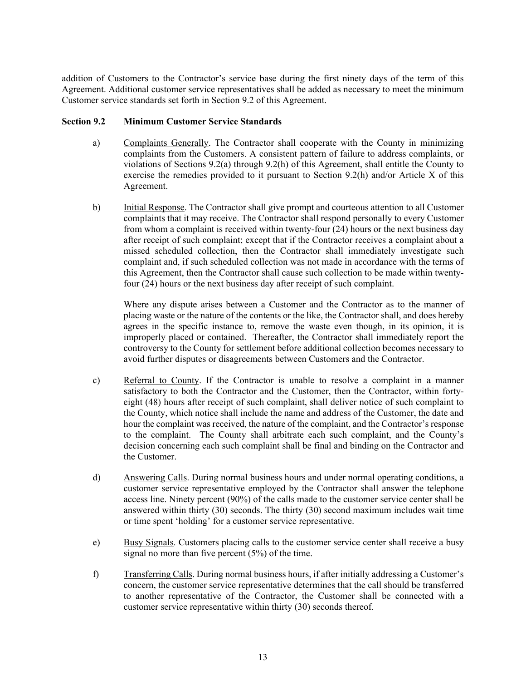addition of Customers to the Contractor's service base during the first ninety days of the term of this Agreement. Additional customer service representatives shall be added as necessary to meet the minimum Customer service standards set forth in Section 9.2 of this Agreement.

# **Section 9.2 Minimum Customer Service Standards**

- a) Complaints Generally. The Contractor shall cooperate with the County in minimizing complaints from the Customers. A consistent pattern of failure to address complaints, or violations of Sections 9.2(a) through 9.2(h) of this Agreement, shall entitle the County to exercise the remedies provided to it pursuant to Section 9.2(h) and/or Article X of this Agreement.
- b) Initial Response. The Contractor shall give prompt and courteous attention to all Customer complaints that it may receive. The Contractor shall respond personally to every Customer from whom a complaint is received within twenty-four (24) hours or the next business day after receipt of such complaint; except that if the Contractor receives a complaint about a missed scheduled collection, then the Contractor shall immediately investigate such complaint and, if such scheduled collection was not made in accordance with the terms of this Agreement, then the Contractor shall cause such collection to be made within twentyfour (24) hours or the next business day after receipt of such complaint.

Where any dispute arises between a Customer and the Contractor as to the manner of placing waste or the nature of the contents or the like, the Contractor shall, and does hereby agrees in the specific instance to, remove the waste even though, in its opinion, it is improperly placed or contained. Thereafter, the Contractor shall immediately report the controversy to the County for settlement before additional collection becomes necessary to avoid further disputes or disagreements between Customers and the Contractor.

- c) Referral to County. If the Contractor is unable to resolve a complaint in a manner satisfactory to both the Contractor and the Customer, then the Contractor, within fortyeight (48) hours after receipt of such complaint, shall deliver notice of such complaint to the County, which notice shall include the name and address of the Customer, the date and hour the complaint was received, the nature of the complaint, and the Contractor's response to the complaint. The County shall arbitrate each such complaint, and the County's decision concerning each such complaint shall be final and binding on the Contractor and the Customer.
- d) Answering Calls. During normal business hours and under normal operating conditions, a customer service representative employed by the Contractor shall answer the telephone access line. Ninety percent (90%) of the calls made to the customer service center shall be answered within thirty (30) seconds. The thirty (30) second maximum includes wait time or time spent 'holding' for a customer service representative.
- e) Busy Signals. Customers placing calls to the customer service center shall receive a busy signal no more than five percent (5%) of the time.
- f) Transferring Calls. During normal business hours, if after initially addressing a Customer's concern, the customer service representative determines that the call should be transferred to another representative of the Contractor, the Customer shall be connected with a customer service representative within thirty (30) seconds thereof.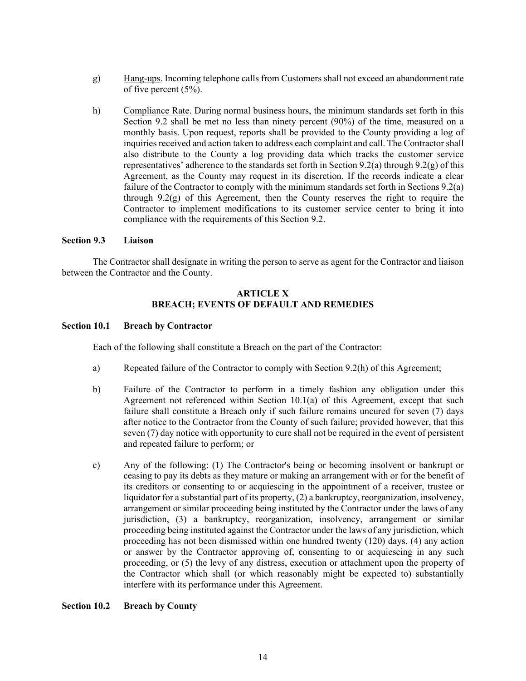- g) Hang-ups. Incoming telephone calls from Customers shall not exceed an abandonment rate of five percent (5%).
- h) Compliance Rate. During normal business hours, the minimum standards set forth in this Section 9.2 shall be met no less than ninety percent (90%) of the time, measured on a monthly basis. Upon request, reports shall be provided to the County providing a log of inquiries received and action taken to address each complaint and call. The Contractor shall also distribute to the County a log providing data which tracks the customer service representatives' adherence to the standards set forth in Section 9.2(a) through 9.2(g) of this Agreement, as the County may request in its discretion. If the records indicate a clear failure of the Contractor to comply with the minimum standards set forth in Sections 9.2(a) through 9.2 $(g)$  of this Agreement, then the County reserves the right to require the Contractor to implement modifications to its customer service center to bring it into compliance with the requirements of this Section 9.2.

#### **Section 9.3 Liaison**

 The Contractor shall designate in writing the person to serve as agent for the Contractor and liaison between the Contractor and the County.

# **ARTICLE X BREACH; EVENTS OF DEFAULT AND REMEDIES**

#### **Section 10.1 Breach by Contractor**

Each of the following shall constitute a Breach on the part of the Contractor:

- a) Repeated failure of the Contractor to comply with Section 9.2(h) of this Agreement;
- b) Failure of the Contractor to perform in a timely fashion any obligation under this Agreement not referenced within Section 10.1(a) of this Agreement, except that such failure shall constitute a Breach only if such failure remains uncured for seven (7) days after notice to the Contractor from the County of such failure; provided however, that this seven (7) day notice with opportunity to cure shall not be required in the event of persistent and repeated failure to perform; or
- c) Any of the following: (1) The Contractor's being or becoming insolvent or bankrupt or ceasing to pay its debts as they mature or making an arrangement with or for the benefit of its creditors or consenting to or acquiescing in the appointment of a receiver, trustee or liquidator for a substantial part of its property, (2) a bankruptcy, reorganization, insolvency, arrangement or similar proceeding being instituted by the Contractor under the laws of any jurisdiction, (3) a bankruptcy, reorganization, insolvency, arrangement or similar proceeding being instituted against the Contractor under the laws of any jurisdiction, which proceeding has not been dismissed within one hundred twenty (120) days, (4) any action or answer by the Contractor approving of, consenting to or acquiescing in any such proceeding, or (5) the levy of any distress, execution or attachment upon the property of the Contractor which shall (or which reasonably might be expected to) substantially interfere with its performance under this Agreement.

## **Section 10.2 Breach by County**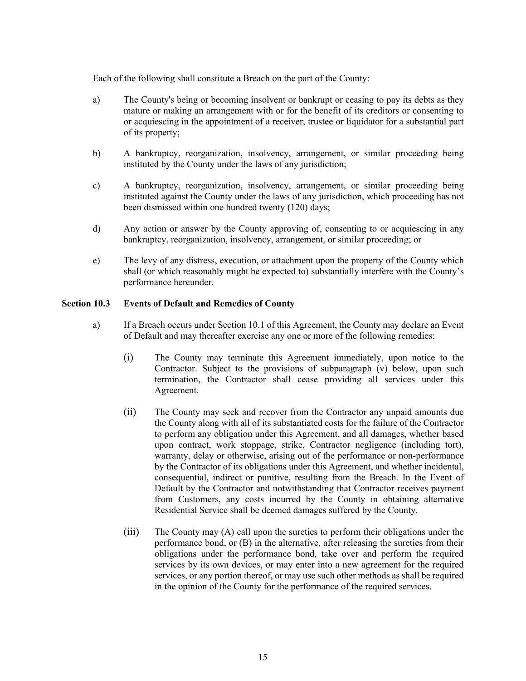Each of the following shall constitute a Breach on the part of the County:

- a) The County's being or becoming insolvent or bankrupt or ceasing to pay its debts as they mature or making an arrangement with or for the benefit of its creditors or consenting to or acquiescing in the appointment of a receiver, trustee or liquidator for a substantial part of its property;
- b) A bankruptcy, reorganization, insolvency, arrangement, or similar proceeding being instituted by the County under the laws of any jurisdiction;
- c) A bankruptcy, reorganization, insolvency, arrangement, or similar proceeding being instituted against the County under the laws of any jurisdiction, which proceeding has not been dismissed within one hundred twenty (120) days;
- d) Any action or answer by the County approving of, consenting to or acquiescing in any bankruptcy, reorganization, insolvency, arrangement, or similar proceeding; or
- e) The levy of any distress, execution, or attachment upon the property of the County which shall (or which reasonably might be expected to) substantially interfere with the County's performance hereunder.

#### **Section 10.3 Events of Default and Remedies of County**

- a) If a Breach occurs under Section 10.1 of this Agreement, the County may declare an Event of Default and may thereafter exercise any one or more of the following remedies:
	- (i) The County may terminate this Agreement immediately, upon notice to the Contractor. Subject to the provisions of subparagraph (v) below, upon such termination, the Contractor shall cease providing all services under this Agreement.
	- (ii) The County may seek and recover from the Contractor any unpaid amounts due the County along with all of its substantiated costs for the failure of the Contractor to perform any obligation under this Agreement, and all damages, whether based upon contract, work stoppage, strike, Contractor negligence (including tort), warranty, delay or otherwise, arising out of the performance or non-performance by the Contractor of its obligations under this Agreement, and whether incidental, consequential, indirect or punitive, resulting from the Breach. In the Event of Default by the Contractor and notwithstanding that Contractor receives payment from Customers, any costs incurred by the County in obtaining alternative Residential Service shall be deemed damages suffered by the County.
	- (iii) The County may (A) call upon the sureties to perform their obligations under the performance bond, or (B) in the alternative, after releasing the sureties from their obligations under the performance bond, take over and perform the required services by its own devices, or may enter into a new agreement for the required services, or any portion thereof, or may use such other methods as shall be required in the opinion of the County for the performance of the required services.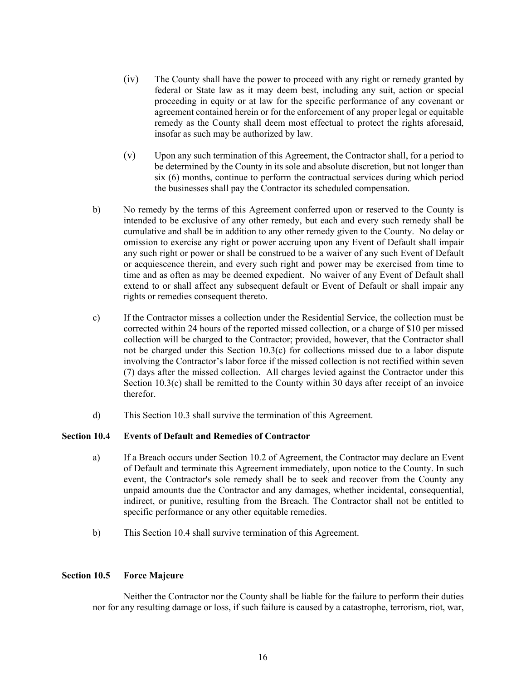- (iv) The County shall have the power to proceed with any right or remedy granted by federal or State law as it may deem best, including any suit, action or special proceeding in equity or at law for the specific performance of any covenant or agreement contained herein or for the enforcement of any proper legal or equitable remedy as the County shall deem most effectual to protect the rights aforesaid, insofar as such may be authorized by law.
- (v) Upon any such termination of this Agreement, the Contractor shall, for a period to be determined by the County in its sole and absolute discretion, but not longer than six (6) months, continue to perform the contractual services during which period the businesses shall pay the Contractor its scheduled compensation.
- b) No remedy by the terms of this Agreement conferred upon or reserved to the County is intended to be exclusive of any other remedy, but each and every such remedy shall be cumulative and shall be in addition to any other remedy given to the County. No delay or omission to exercise any right or power accruing upon any Event of Default shall impair any such right or power or shall be construed to be a waiver of any such Event of Default or acquiescence therein, and every such right and power may be exercised from time to time and as often as may be deemed expedient. No waiver of any Event of Default shall extend to or shall affect any subsequent default or Event of Default or shall impair any rights or remedies consequent thereto.
- c) If the Contractor misses a collection under the Residential Service, the collection must be corrected within 24 hours of the reported missed collection, or a charge of \$10 per missed collection will be charged to the Contractor; provided, however, that the Contractor shall not be charged under this Section 10.3(c) for collections missed due to a labor dispute involving the Contractor's labor force if the missed collection is not rectified within seven (7) days after the missed collection. All charges levied against the Contractor under this Section 10.3(c) shall be remitted to the County within 30 days after receipt of an invoice therefor.
- d) This Section 10.3 shall survive the termination of this Agreement.

# **Section 10.4 Events of Default and Remedies of Contractor**

- a) If a Breach occurs under Section 10.2 of Agreement, the Contractor may declare an Event of Default and terminate this Agreement immediately, upon notice to the County. In such event, the Contractor's sole remedy shall be to seek and recover from the County any unpaid amounts due the Contractor and any damages, whether incidental, consequential, indirect, or punitive, resulting from the Breach. The Contractor shall not be entitled to specific performance or any other equitable remedies.
- b) This Section 10.4 shall survive termination of this Agreement.

# **Section 10.5 Force Majeure**

Neither the Contractor nor the County shall be liable for the failure to perform their duties nor for any resulting damage or loss, if such failure is caused by a catastrophe, terrorism, riot, war,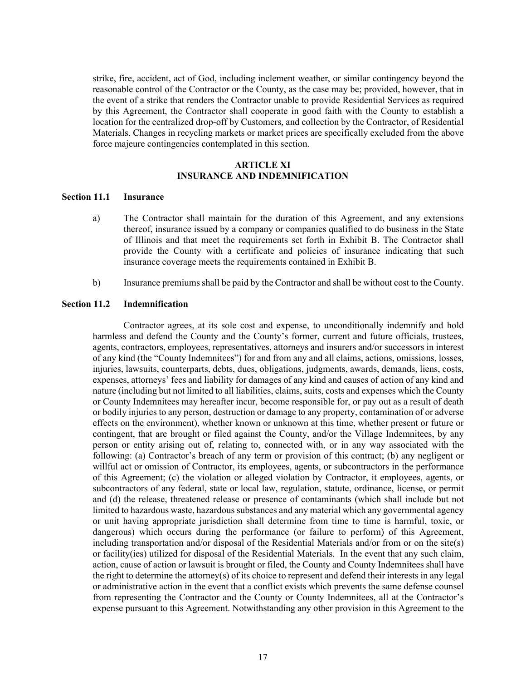strike, fire, accident, act of God, including inclement weather, or similar contingency beyond the reasonable control of the Contractor or the County, as the case may be; provided, however, that in the event of a strike that renders the Contractor unable to provide Residential Services as required by this Agreement, the Contractor shall cooperate in good faith with the County to establish a location for the centralized drop-off by Customers, and collection by the Contractor, of Residential Materials. Changes in recycling markets or market prices are specifically excluded from the above force majeure contingencies contemplated in this section.

# **ARTICLE XI INSURANCE AND INDEMNIFICATION**

#### **Section 11.1 Insurance**

- a) The Contractor shall maintain for the duration of this Agreement, and any extensions thereof, insurance issued by a company or companies qualified to do business in the State of Illinois and that meet the requirements set forth in Exhibit B. The Contractor shall provide the County with a certificate and policies of insurance indicating that such insurance coverage meets the requirements contained in Exhibit B.
- b) Insurance premiums shall be paid by the Contractor and shall be without cost to the County.

#### **Section 11.2 Indemnification**

 Contractor agrees, at its sole cost and expense, to unconditionally indemnify and hold harmless and defend the County and the County's former, current and future officials, trustees, agents, contractors, employees, representatives, attorneys and insurers and/or successors in interest of any kind (the "County Indemnitees") for and from any and all claims, actions, omissions, losses, injuries, lawsuits, counterparts, debts, dues, obligations, judgments, awards, demands, liens, costs, expenses, attorneys' fees and liability for damages of any kind and causes of action of any kind and nature (including but not limited to all liabilities, claims, suits, costs and expenses which the County or County Indemnitees may hereafter incur, become responsible for, or pay out as a result of death or bodily injuries to any person, destruction or damage to any property, contamination of or adverse effects on the environment), whether known or unknown at this time, whether present or future or contingent, that are brought or filed against the County, and/or the Village Indemnitees, by any person or entity arising out of, relating to, connected with, or in any way associated with the following: (a) Contractor's breach of any term or provision of this contract; (b) any negligent or willful act or omission of Contractor, its employees, agents, or subcontractors in the performance of this Agreement; (c) the violation or alleged violation by Contractor, it employees, agents, or subcontractors of any federal, state or local law, regulation, statute, ordinance, license, or permit and (d) the release, threatened release or presence of contaminants (which shall include but not limited to hazardous waste, hazardous substances and any material which any governmental agency or unit having appropriate jurisdiction shall determine from time to time is harmful, toxic, or dangerous) which occurs during the performance (or failure to perform) of this Agreement, including transportation and/or disposal of the Residential Materials and/or from or on the site(s) or facility(ies) utilized for disposal of the Residential Materials. In the event that any such claim, action, cause of action or lawsuit is brought or filed, the County and County Indemnitees shall have the right to determine the attorney(s) of its choice to represent and defend their interests in any legal or administrative action in the event that a conflict exists which prevents the same defense counsel from representing the Contractor and the County or County Indemnitees, all at the Contractor's expense pursuant to this Agreement. Notwithstanding any other provision in this Agreement to the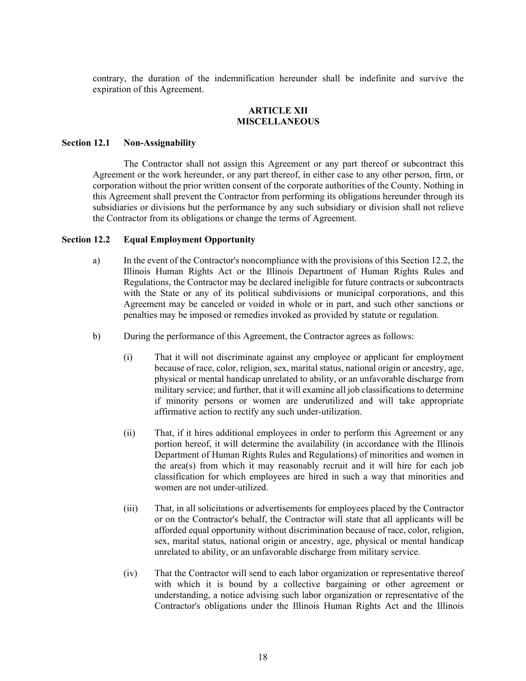contrary, the duration of the indemnification hereunder shall be indefinite and survive the expiration of this Agreement.

# **ARTICLE XII MISCELLANEOUS**

#### **Section 12.1 Non-Assignability**

The Contractor shall not assign this Agreement or any part thereof or subcontract this Agreement or the work hereunder, or any part thereof, in either case to any other person, firm, or corporation without the prior written consent of the corporate authorities of the County. Nothing in this Agreement shall prevent the Contractor from performing its obligations hereunder through its subsidiaries or divisions but the performance by any such subsidiary or division shall not relieve the Contractor from its obligations or change the terms of Agreement.

#### **Section 12.2 Equal Employment Opportunity**

- a) In the event of the Contractor's noncompliance with the provisions of this Section 12.2, the Illinois Human Rights Act or the Illinois Department of Human Rights Rules and Regulations, the Contractor may be declared ineligible for future contracts or subcontracts with the State or any of its political subdivisions or municipal corporations, and this Agreement may be canceled or voided in whole or in part, and such other sanctions or penalties may be imposed or remedies invoked as provided by statute or regulation.
- b) During the performance of this Agreement, the Contractor agrees as follows:
	- (i) That it will not discriminate against any employee or applicant for employment because of race, color, religion, sex, marital status, national origin or ancestry, age, physical or mental handicap unrelated to ability, or an unfavorable discharge from military service; and further, that it will examine all job classifications to determine if minority persons or women are underutilized and will take appropriate affirmative action to rectify any such under-utilization.
	- (ii) That, if it hires additional employees in order to perform this Agreement or any portion hereof, it will determine the availability (in accordance with the Illinois Department of Human Rights Rules and Regulations) of minorities and women in the area(s) from which it may reasonably recruit and it will hire for each job classification for which employees are hired in such a way that minorities and women are not under-utilized.
	- (iii) That, in all solicitations or advertisements for employees placed by the Contractor or on the Contractor's behalf, the Contractor will state that all applicants will be afforded equal opportunity without discrimination because of race, color, religion, sex, marital status, national origin or ancestry, age, physical or mental handicap unrelated to ability, or an unfavorable discharge from military service.
	- (iv) That the Contractor will send to each labor organization or representative thereof with which it is bound by a collective bargaining or other agreement or understanding, a notice advising such labor organization or representative of the Contractor's obligations under the Illinois Human Rights Act and the Illinois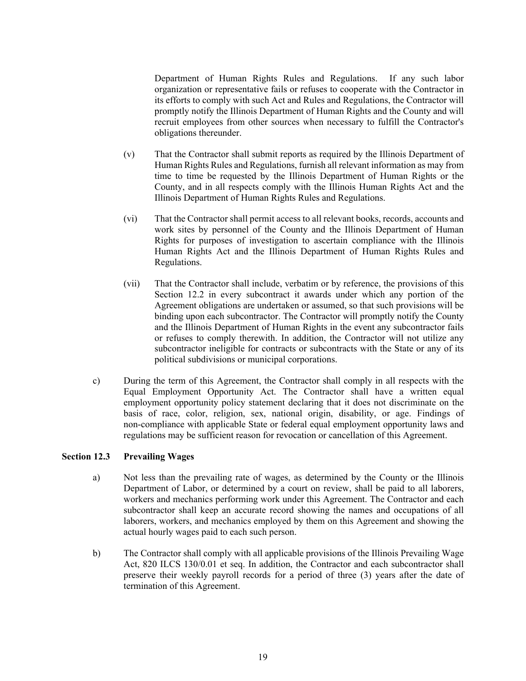Department of Human Rights Rules and Regulations. If any such labor organization or representative fails or refuses to cooperate with the Contractor in its efforts to comply with such Act and Rules and Regulations, the Contractor will promptly notify the Illinois Department of Human Rights and the County and will recruit employees from other sources when necessary to fulfill the Contractor's obligations thereunder.

- (v) That the Contractor shall submit reports as required by the Illinois Department of Human Rights Rules and Regulations, furnish all relevant information as may from time to time be requested by the Illinois Department of Human Rights or the County, and in all respects comply with the Illinois Human Rights Act and the Illinois Department of Human Rights Rules and Regulations.
- (vi) That the Contractor shall permit access to all relevant books, records, accounts and work sites by personnel of the County and the Illinois Department of Human Rights for purposes of investigation to ascertain compliance with the Illinois Human Rights Act and the Illinois Department of Human Rights Rules and Regulations.
- (vii) That the Contractor shall include, verbatim or by reference, the provisions of this Section 12.2 in every subcontract it awards under which any portion of the Agreement obligations are undertaken or assumed, so that such provisions will be binding upon each subcontractor. The Contractor will promptly notify the County and the Illinois Department of Human Rights in the event any subcontractor fails or refuses to comply therewith. In addition, the Contractor will not utilize any subcontractor ineligible for contracts or subcontracts with the State or any of its political subdivisions or municipal corporations.
- c) During the term of this Agreement, the Contractor shall comply in all respects with the Equal Employment Opportunity Act. The Contractor shall have a written equal employment opportunity policy statement declaring that it does not discriminate on the basis of race, color, religion, sex, national origin, disability, or age. Findings of non-compliance with applicable State or federal equal employment opportunity laws and regulations may be sufficient reason for revocation or cancellation of this Agreement.

# **Section 12.3 Prevailing Wages**

- a) Not less than the prevailing rate of wages, as determined by the County or the Illinois Department of Labor, or determined by a court on review, shall be paid to all laborers, workers and mechanics performing work under this Agreement. The Contractor and each subcontractor shall keep an accurate record showing the names and occupations of all laborers, workers, and mechanics employed by them on this Agreement and showing the actual hourly wages paid to each such person.
- b) The Contractor shall comply with all applicable provisions of the Illinois Prevailing Wage Act, 820 ILCS 130/0.01 et seq. In addition, the Contractor and each subcontractor shall preserve their weekly payroll records for a period of three (3) years after the date of termination of this Agreement.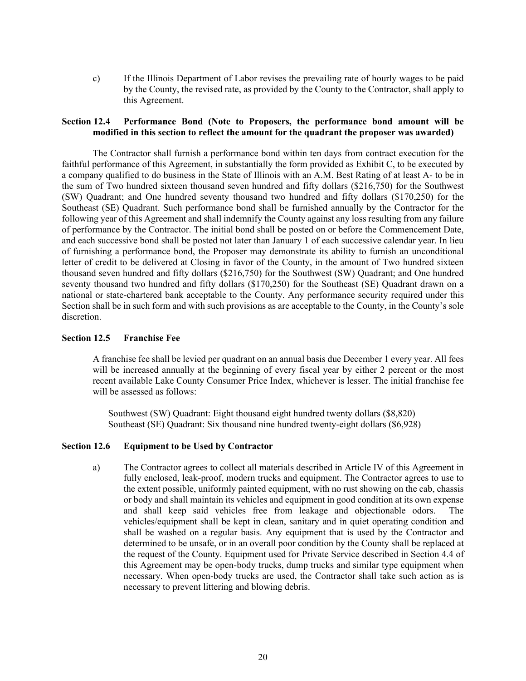c) If the Illinois Department of Labor revises the prevailing rate of hourly wages to be paid by the County, the revised rate, as provided by the County to the Contractor, shall apply to this Agreement.

#### **Section 12.4 Performance Bond (Note to Proposers, the performance bond amount will be modified in this section to reflect the amount for the quadrant the proposer was awarded)**

The Contractor shall furnish a performance bond within ten days from contract execution for the faithful performance of this Agreement, in substantially the form provided as Exhibit C, to be executed by a company qualified to do business in the State of Illinois with an A.M. Best Rating of at least A- to be in the sum of Two hundred sixteen thousand seven hundred and fifty dollars (\$216,750) for the Southwest (SW) Quadrant; and One hundred seventy thousand two hundred and fifty dollars (\$170,250) for the Southeast (SE) Quadrant. Such performance bond shall be furnished annually by the Contractor for the following year of this Agreement and shall indemnify the County against any loss resulting from any failure of performance by the Contractor. The initial bond shall be posted on or before the Commencement Date, and each successive bond shall be posted not later than January 1 of each successive calendar year. In lieu of furnishing a performance bond, the Proposer may demonstrate its ability to furnish an unconditional letter of credit to be delivered at Closing in favor of the County, in the amount of Two hundred sixteen thousand seven hundred and fifty dollars (\$216,750) for the Southwest (SW) Quadrant; and One hundred seventy thousand two hundred and fifty dollars (\$170,250) for the Southeast (SE) Quadrant drawn on a national or state-chartered bank acceptable to the County. Any performance security required under this Section shall be in such form and with such provisions as are acceptable to the County, in the County's sole discretion.

#### **Section 12.5 Franchise Fee**

A franchise fee shall be levied per quadrant on an annual basis due December 1 every year. All fees will be increased annually at the beginning of every fiscal year by either 2 percent or the most recent available Lake County Consumer Price Index, whichever is lesser. The initial franchise fee will be assessed as follows:

Southwest (SW) Quadrant: Eight thousand eight hundred twenty dollars (\$8,820) Southeast (SE) Quadrant: Six thousand nine hundred twenty-eight dollars (\$6,928)

#### **Section 12.6 Equipment to be Used by Contractor**

a) The Contractor agrees to collect all materials described in Article IV of this Agreement in fully enclosed, leak-proof, modern trucks and equipment. The Contractor agrees to use to the extent possible, uniformly painted equipment, with no rust showing on the cab, chassis or body and shall maintain its vehicles and equipment in good condition at its own expense and shall keep said vehicles free from leakage and objectionable odors. The vehicles/equipment shall be kept in clean, sanitary and in quiet operating condition and shall be washed on a regular basis. Any equipment that is used by the Contractor and determined to be unsafe, or in an overall poor condition by the County shall be replaced at the request of the County. Equipment used for Private Service described in Section 4.4 of this Agreement may be open-body trucks, dump trucks and similar type equipment when necessary. When open-body trucks are used, the Contractor shall take such action as is necessary to prevent littering and blowing debris.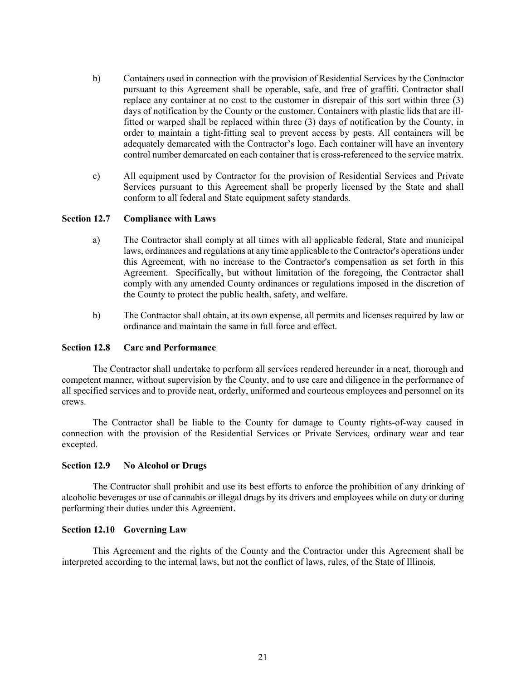- b) Containers used in connection with the provision of Residential Services by the Contractor pursuant to this Agreement shall be operable, safe, and free of graffiti. Contractor shall replace any container at no cost to the customer in disrepair of this sort within three (3) days of notification by the County or the customer. Containers with plastic lids that are illfitted or warped shall be replaced within three (3) days of notification by the County, in order to maintain a tight-fitting seal to prevent access by pests. All containers will be adequately demarcated with the Contractor's logo. Each container will have an inventory control number demarcated on each container that is cross-referenced to the service matrix.
- c) All equipment used by Contractor for the provision of Residential Services and Private Services pursuant to this Agreement shall be properly licensed by the State and shall conform to all federal and State equipment safety standards.

## **Section 12.7 Compliance with Laws**

- a) The Contractor shall comply at all times with all applicable federal, State and municipal laws, ordinances and regulations at any time applicable to the Contractor's operations under this Agreement, with no increase to the Contractor's compensation as set forth in this Agreement. Specifically, but without limitation of the foregoing, the Contractor shall comply with any amended County ordinances or regulations imposed in the discretion of the County to protect the public health, safety, and welfare.
- b) The Contractor shall obtain, at its own expense, all permits and licenses required by law or ordinance and maintain the same in full force and effect.

#### **Section 12.8 Care and Performance**

The Contractor shall undertake to perform all services rendered hereunder in a neat, thorough and competent manner, without supervision by the County, and to use care and diligence in the performance of all specified services and to provide neat, orderly, uniformed and courteous employees and personnel on its crews.

The Contractor shall be liable to the County for damage to County rights-of-way caused in connection with the provision of the Residential Services or Private Services, ordinary wear and tear excepted.

# **Section 12.9 No Alcohol or Drugs**

The Contractor shall prohibit and use its best efforts to enforce the prohibition of any drinking of alcoholic beverages or use of cannabis or illegal drugs by its drivers and employees while on duty or during performing their duties under this Agreement.

# **Section 12.10 Governing Law**

This Agreement and the rights of the County and the Contractor under this Agreement shall be interpreted according to the internal laws, but not the conflict of laws, rules, of the State of Illinois.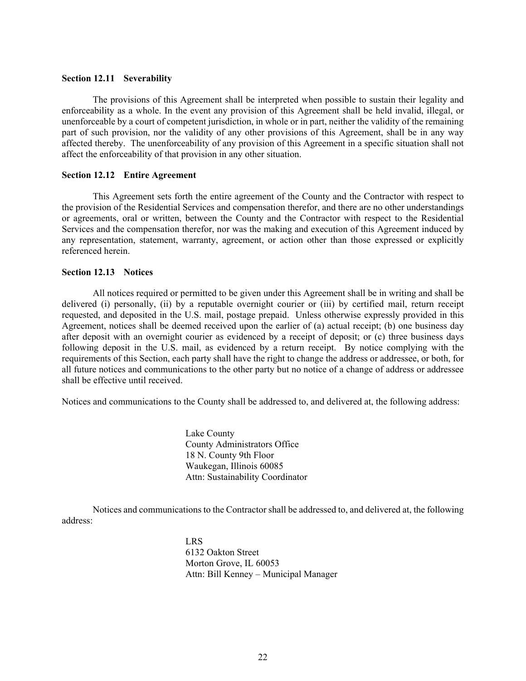#### **Section 12.11 Severability**

The provisions of this Agreement shall be interpreted when possible to sustain their legality and enforceability as a whole. In the event any provision of this Agreement shall be held invalid, illegal, or unenforceable by a court of competent jurisdiction, in whole or in part, neither the validity of the remaining part of such provision, nor the validity of any other provisions of this Agreement, shall be in any way affected thereby. The unenforceability of any provision of this Agreement in a specific situation shall not affect the enforceability of that provision in any other situation.

#### **Section 12.12 Entire Agreement**

This Agreement sets forth the entire agreement of the County and the Contractor with respect to the provision of the Residential Services and compensation therefor, and there are no other understandings or agreements, oral or written, between the County and the Contractor with respect to the Residential Services and the compensation therefor, nor was the making and execution of this Agreement induced by any representation, statement, warranty, agreement, or action other than those expressed or explicitly referenced herein.

#### **Section 12.13 Notices**

All notices required or permitted to be given under this Agreement shall be in writing and shall be delivered (i) personally, (ii) by a reputable overnight courier or (iii) by certified mail, return receipt requested, and deposited in the U.S. mail, postage prepaid. Unless otherwise expressly provided in this Agreement, notices shall be deemed received upon the earlier of (a) actual receipt; (b) one business day after deposit with an overnight courier as evidenced by a receipt of deposit; or (c) three business days following deposit in the U.S. mail, as evidenced by a return receipt. By notice complying with the requirements of this Section, each party shall have the right to change the address or addressee, or both, for all future notices and communications to the other party but no notice of a change of address or addressee shall be effective until received.

Notices and communications to the County shall be addressed to, and delivered at, the following address:

Lake County County Administrators Office 18 N. County 9th Floor Waukegan, Illinois 60085 Attn: Sustainability Coordinator

Notices and communications to the Contractor shall be addressed to, and delivered at, the following address:

> LRS 6132 Oakton Street Morton Grove, IL 60053 Attn: Bill Kenney – Municipal Manager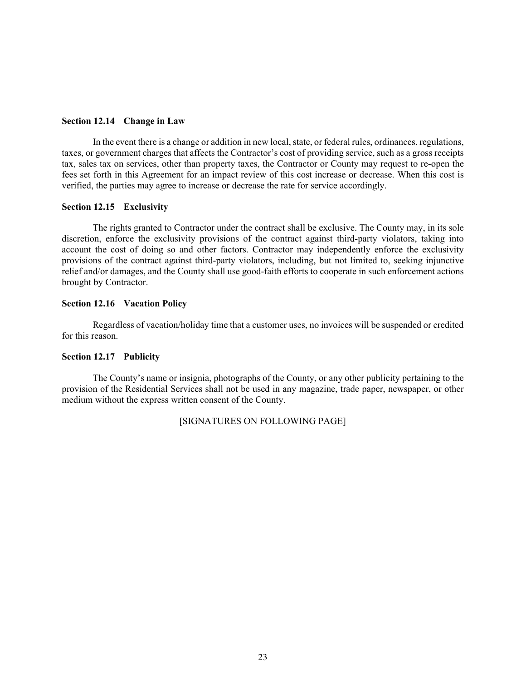#### **Section 12.14 Change in Law**

In the event there is a change or addition in new local, state, or federal rules, ordinances. regulations, taxes, or government charges that affects the Contractor's cost of providing service, such as a gross receipts tax, sales tax on services, other than property taxes, the Contractor or County may request to re-open the fees set forth in this Agreement for an impact review of this cost increase or decrease. When this cost is verified, the parties may agree to increase or decrease the rate for service accordingly.

#### **Section 12.15 Exclusivity**

The rights granted to Contractor under the contract shall be exclusive. The County may, in its sole discretion, enforce the exclusivity provisions of the contract against third-party violators, taking into account the cost of doing so and other factors. Contractor may independently enforce the exclusivity provisions of the contract against third-party violators, including, but not limited to, seeking injunctive relief and/or damages, and the County shall use good-faith efforts to cooperate in such enforcement actions brought by Contractor.

#### **Section 12.16 Vacation Policy**

Regardless of vacation/holiday time that a customer uses, no invoices will be suspended or credited for this reason.

#### **Section 12.17 Publicity**

The County's name or insignia, photographs of the County, or any other publicity pertaining to the provision of the Residential Services shall not be used in any magazine, trade paper, newspaper, or other medium without the express written consent of the County.

# [SIGNATURES ON FOLLOWING PAGE]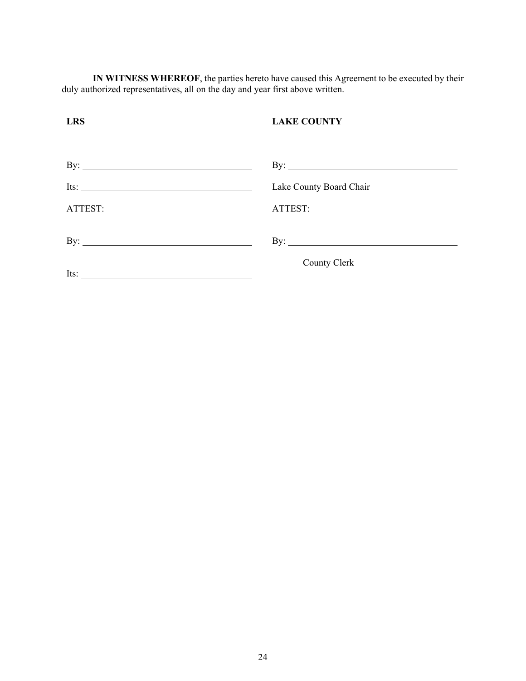**IN WITNESS WHEREOF**, the parties hereto have caused this Agreement to be executed by their duly authorized representatives, all on the day and year first above written.

| <b>LRS</b>           | <b>LAKE COUNTY</b>      |
|----------------------|-------------------------|
|                      |                         |
| By: $\qquad \qquad$  | By: $\qquad \qquad$     |
| Its: $\qquad \qquad$ | Lake County Board Chair |
| ATTEST:              | ATTEST:                 |
|                      | By: $\qquad \qquad$     |
| Its: $\qquad \qquad$ | County Clerk            |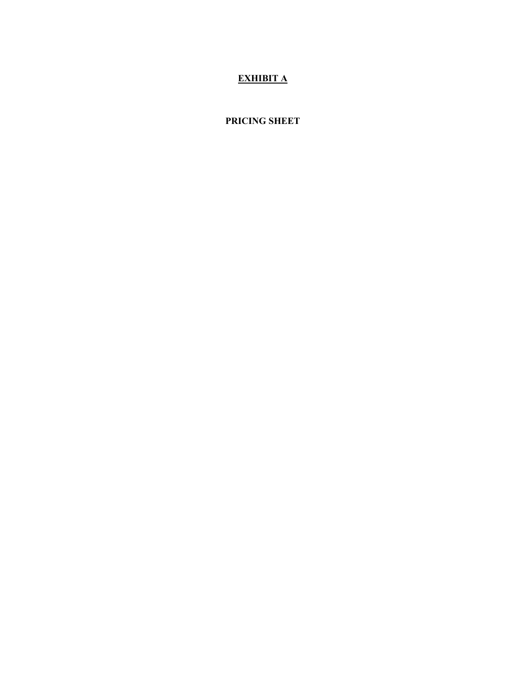# **EXHIBIT A**

# **PRICING SHEET**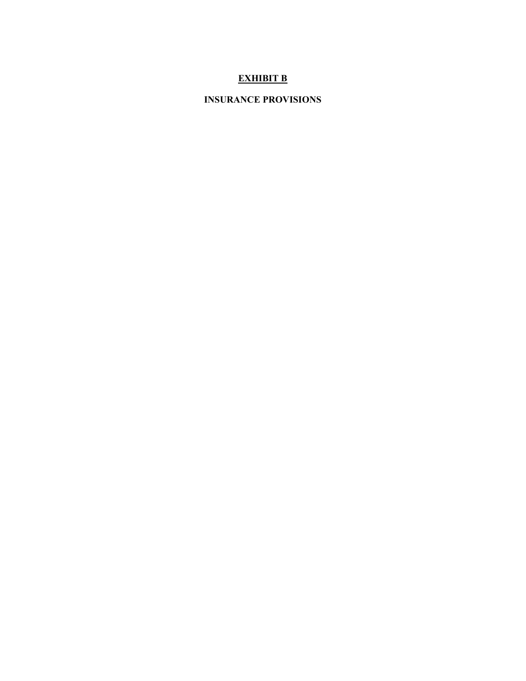# **EXHIBIT B**

# **INSURANCE PROVISIONS**